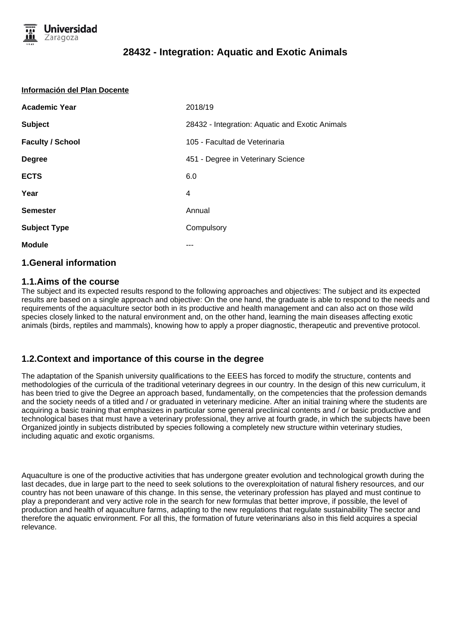

#### **Información del Plan Docente**

| <b>Academic Year</b>    | 2018/19                                         |
|-------------------------|-------------------------------------------------|
| <b>Subject</b>          | 28432 - Integration: Aquatic and Exotic Animals |
| <b>Faculty / School</b> | 105 - Facultad de Veterinaria                   |
| <b>Degree</b>           | 451 - Degree in Veterinary Science              |
| <b>ECTS</b>             | 6.0                                             |
| Year                    | 4                                               |
| <b>Semester</b>         | Annual                                          |
| <b>Subject Type</b>     | Compulsory                                      |
| <b>Module</b>           |                                                 |

### **1.General information**

### **1.1.Aims of the course**

The subject and its expected results respond to the following approaches and objectives: The subject and its expected results are based on a single approach and objective: On the one hand, the graduate is able to respond to the needs and requirements of the aquaculture sector both in its productive and health management and can also act on those wild species closely linked to the natural environment and, on the other hand, learning the main diseases affecting exotic animals (birds, reptiles and mammals), knowing how to apply a proper diagnostic, therapeutic and preventive protocol.

### **1.2.Context and importance of this course in the degree**

The adaptation of the Spanish university qualifications to the EEES has forced to modify the structure, contents and methodologies of the curricula of the traditional veterinary degrees in our country. In the design of this new curriculum, it has been tried to give the Degree an approach based, fundamentally, on the competencies that the profession demands and the society needs of a titled and / or graduated in veterinary medicine. After an initial training where the students are acquiring a basic training that emphasizes in particular some general preclinical contents and / or basic productive and technological bases that must have a veterinary professional, they arrive at fourth grade, in which the subjects have been Organized jointly in subjects distributed by species following a completely new structure within veterinary studies, including aquatic and exotic organisms.

Aquaculture is one of the productive activities that has undergone greater evolution and technological growth during the last decades, due in large part to the need to seek solutions to the overexploitation of natural fishery resources, and our country has not been unaware of this change. In this sense, the veterinary profession has played and must continue to play a preponderant and very active role in the search for new formulas that better improve, if possible, the level of production and health of aquaculture farms, adapting to the new regulations that regulate sustainability The sector and therefore the aquatic environment. For all this, the formation of future veterinarians also in this field acquires a special relevance.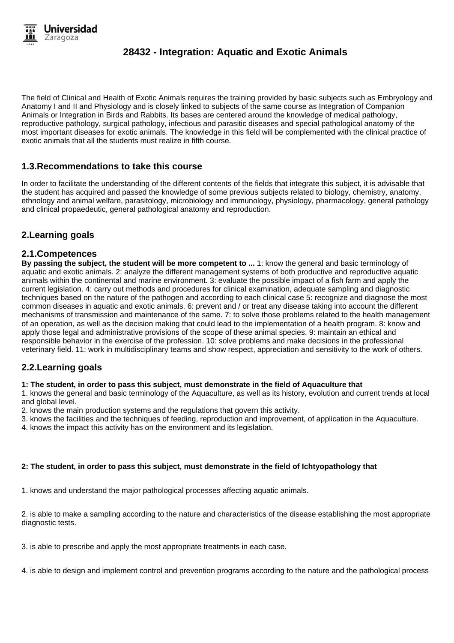The field of Clinical and Health of Exotic Animals requires the training provided by basic subjects such as Embryology and Anatomy I and II and Physiology and is closely linked to subjects of the same course as Integration of Companion Animals or Integration in Birds and Rabbits. Its bases are centered around the knowledge of medical pathology, reproductive pathology, surgical pathology, infectious and parasitic diseases and special pathological anatomy of the most important diseases for exotic animals. The knowledge in this field will be complemented with the clinical practice of exotic animals that all the students must realize in fifth course.

## **1.3.Recommendations to take this course**

In order to facilitate the understanding of the different contents of the fields that integrate this subject, it is advisable that the student has acquired and passed the knowledge of some previous subjects related to biology, chemistry, anatomy, ethnology and animal welfare, parasitology, microbiology and immunology, physiology, pharmacology, general pathology and clinical propaedeutic, general pathological anatomy and reproduction.

# **2.Learning goals**

## **2.1.Competences**

**By passing the subject, the student will be more competent to ...** 1: know the general and basic terminology of aquatic and exotic animals. 2: analyze the different management systems of both productive and reproductive aquatic animals within the continental and marine environment. 3: evaluate the possible impact of a fish farm and apply the current legislation. 4: carry out methods and procedures for clinical examination, adequate sampling and diagnostic techniques based on the nature of the pathogen and according to each clinical case 5: recognize and diagnose the most common diseases in aquatic and exotic animals. 6: prevent and / or treat any disease taking into account the different mechanisms of transmission and maintenance of the same. 7: to solve those problems related to the health management of an operation, as well as the decision making that could lead to the implementation of a health program. 8: know and apply those legal and administrative provisions of the scope of these animal species. 9: maintain an ethical and responsible behavior in the exercise of the profession. 10: solve problems and make decisions in the professional veterinary field. 11: work in multidisciplinary teams and show respect, appreciation and sensitivity to the work of others.

## **2.2.Learning goals**

#### **1: The student, in order to pass this subject, must demonstrate in the field of Aquaculture that**

1. knows the general and basic terminology of the Aquaculture, as well as its history, evolution and current trends at local and global level.

2. knows the main production systems and the regulations that govern this activity.

3. knows the facilities and the techniques of feeding, reproduction and improvement, of application in the Aquaculture.

4. knows the impact this activity has on the environment and its legislation.

#### **2: The student, in order to pass this subject, must demonstrate in the field of Ichtyopathology that**

1. knows and understand the major pathological processes affecting aquatic animals.

2. is able to make a sampling according to the nature and characteristics of the disease establishing the most appropriate diagnostic tests.

3. is able to prescribe and apply the most appropriate treatments in each case.

4. is able to design and implement control and prevention programs according to the nature and the pathological process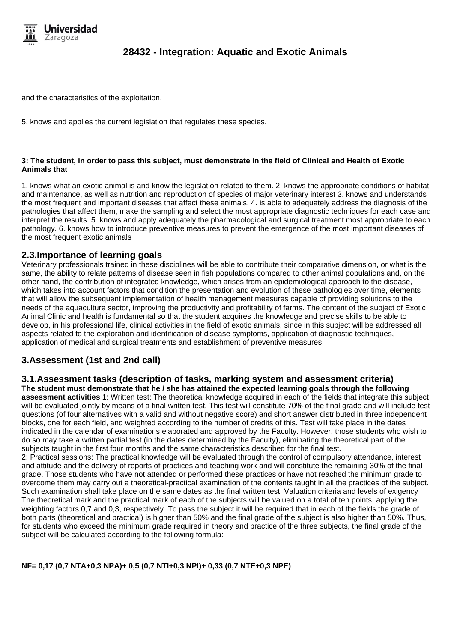

and the characteristics of the exploitation.

5. knows and applies the current legislation that regulates these species.

#### **3: The student, in order to pass this subject, must demonstrate in the field of Clinical and Health of Exotic Animals that**

1. knows what an exotic animal is and know the legislation related to them. 2. knows the appropriate conditions of habitat and maintenance, as well as nutrition and reproduction of species of major veterinary interest 3. knows and understands the most frequent and important diseases that affect these animals. 4. is able to adequately address the diagnosis of the pathologies that affect them, make the sampling and select the most appropriate diagnostic techniques for each case and interpret the results. 5. knows and apply adequately the pharmacological and surgical treatment most appropriate to each pathology. 6. knows how to introduce preventive measures to prevent the emergence of the most important diseases of the most frequent exotic animals

### **2.3.Importance of learning goals**

Veterinary professionals trained in these disciplines will be able to contribute their comparative dimension, or what is the same, the ability to relate patterns of disease seen in fish populations compared to other animal populations and, on the other hand, the contribution of integrated knowledge, which arises from an epidemiological approach to the disease, which takes into account factors that condition the presentation and evolution of these pathologies over time, elements that will allow the subsequent implementation of health management measures capable of providing solutions to the needs of the aquaculture sector, improving the productivity and profitability of farms. The content of the subject of Exotic Animal Clinic and health is fundamental so that the student acquires the knowledge and precise skills to be able to develop, in his professional life, clinical activities in the field of exotic animals, since in this subject will be addressed all aspects related to the exploration and identification of disease symptoms, application of diagnostic techniques, application of medical and surgical treatments and establishment of preventive measures.

## **3.Assessment (1st and 2nd call)**

#### **3.1.Assessment tasks (description of tasks, marking system and assessment criteria)**

**The student must demonstrate that he / she has attained the expected learning goals through the following assessment activities** 1: Written test: The theoretical knowledge acquired in each of the fields that integrate this subject will be evaluated jointly by means of a final written test. This test will constitute 70% of the final grade and will include test questions (of four alternatives with a valid and without negative score) and short answer distributed in three independent blocks, one for each field, and weighted according to the number of credits of this. Test will take place in the dates indicated in the calendar of examinations elaborated and approved by the Faculty. However, those students who wish to do so may take a written partial test (in the dates determined by the Faculty), eliminating the theoretical part of the subjects taught in the first four months and the same characteristics described for the final test.

2: Practical sessions: The practical knowledge will be evaluated through the control of compulsory attendance, interest and attitude and the delivery of reports of practices and teaching work and will constitute the remaining 30% of the final grade. Those students who have not attended or performed these practices or have not reached the minimum grade to overcome them may carry out a theoretical-practical examination of the contents taught in all the practices of the subject. Such examination shall take place on the same dates as the final written test. Valuation criteria and levels of exigency The theoretical mark and the practical mark of each of the subjects will be valued on a total of ten points, applying the weighting factors 0,7 and 0,3, respectively. To pass the subject it will be required that in each of the fields the grade of both parts (theoretical and practical) is higher than 50% and the final grade of the subject is also higher than 50%. Thus, for students who exceed the minimum grade required in theory and practice of the three subjects, the final grade of the subject will be calculated according to the following formula:

**NF= 0,17 (0,7 NTA+0,3 NPA)+ 0,5 (0,7 NTI+0,3 NPI)+ 0,33 (0,7 NTE+0,3 NPE)**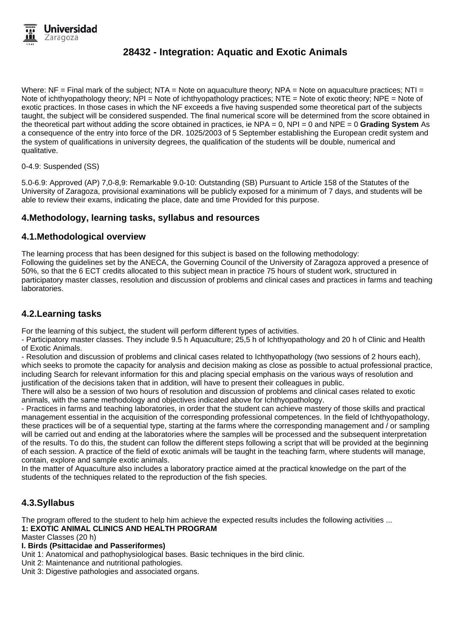Where: NF = Final mark of the subject: NTA = Note on aquaculture theory: NPA = Note on aquaculture practices: NTI = Note of ichthyopathology theory; NPI = Note of ichthyopathology practices; NTE = Note of exotic theory; NPE = Note of exotic practices. In those cases in which the NF exceeds a five having suspended some theoretical part of the subjects taught, the subject will be considered suspended. The final numerical score will be determined from the score obtained in the theoretical part without adding the score obtained in practices, ie NPA = 0, NPI = 0 and NPE = 0 **Grading System** As a consequence of the entry into force of the DR. 1025/2003 of 5 September establishing the European credit system and the system of qualifications in university degrees, the qualification of the students will be double, numerical and qualitative.

0-4.9: Suspended (SS)

5.0-6.9: Approved (AP) 7,0-8,9: Remarkable 9.0-10: Outstanding (SB) Pursuant to Article 158 of the Statutes of the University of Zaragoza, provisional examinations will be publicly exposed for a minimum of 7 days, and students will be able to review their exams, indicating the place, date and time Provided for this purpose.

## **4.Methodology, learning tasks, syllabus and resources**

## **4.1.Methodological overview**

The learning process that has been designed for this subject is based on the following methodology: Following the guidelines set by the ANECA, the Governing Council of the University of Zaragoza approved a presence of 50%, so that the 6 ECT credits allocated to this subject mean in practice 75 hours of student work, structured in participatory master classes, resolution and discussion of problems and clinical cases and practices in farms and teaching laboratories.

## **4.2.Learning tasks**

For the learning of this subject, the student will perform different types of activities.

- Participatory master classes. They include 9.5 h Aquaculture; 25,5 h of Ichthyopathology and 20 h of Clinic and Health of Exotic Animals.

- Resolution and discussion of problems and clinical cases related to Ichthyopathology (two sessions of 2 hours each), which seeks to promote the capacity for analysis and decision making as close as possible to actual professional practice, including Search for relevant information for this and placing special emphasis on the various ways of resolution and justification of the decisions taken that in addition, will have to present their colleagues in public.

There will also be a session of two hours of resolution and discussion of problems and clinical cases related to exotic animals, with the same methodology and objectives indicated above for Ichthyopathology.

- Practices in farms and teaching laboratories, in order that the student can achieve mastery of those skills and practical management essential in the acquisition of the corresponding professional competences. In the field of Ichthyopathology, these practices will be of a sequential type, starting at the farms where the corresponding management and / or sampling will be carried out and ending at the laboratories where the samples will be processed and the subsequent interpretation of the results. To do this, the student can follow the different steps following a script that will be provided at the beginning of each session. A practice of the field of exotic animals will be taught in the teaching farm, where students will manage, contain, explore and sample exotic animals.

In the matter of Aquaculture also includes a laboratory practice aimed at the practical knowledge on the part of the students of the techniques related to the reproduction of the fish species.

## **4.3.Syllabus**

The program offered to the student to help him achieve the expected results includes the following activities ...

### **1: EXOTIC ANIMAL CLINICS AND HEALTH PROGRAM**

Master Classes (20 h)

## **I. Birds (Psittacidae and Passeriformes)**

Unit 1: Anatomical and pathophysiological bases. Basic techniques in the bird clinic.

Unit 2: Maintenance and nutritional pathologies.

Unit 3: Digestive pathologies and associated organs.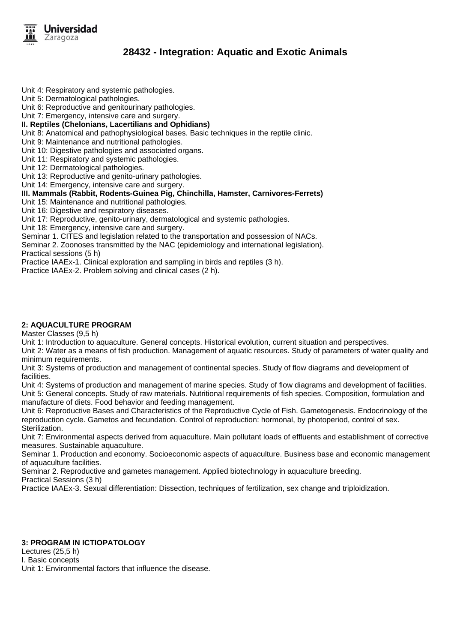

Unit 4: Respiratory and systemic pathologies.

Unit 5: Dermatological pathologies.

Unit 6: Reproductive and genitourinary pathologies.

Unit 7: Emergency, intensive care and surgery.

#### **II. Reptiles (Chelonians, Lacertilians and Ophidians)**

Unit 8: Anatomical and pathophysiological bases. Basic techniques in the reptile clinic.

Unit 9: Maintenance and nutritional pathologies.

Unit 10: Digestive pathologies and associated organs.

Unit 11: Respiratory and systemic pathologies.

Unit 12: Dermatological pathologies.

Unit 13: Reproductive and genito-urinary pathologies.

Unit 14: Emergency, intensive care and surgery.

### **III. Mammals (Rabbit, Rodents-Guinea Pig, Chinchilla, Hamster, Carnivores-Ferrets)**

Unit 15: Maintenance and nutritional pathologies.

Unit 16: Digestive and respiratory diseases.

Unit 17: Reproductive, genito-urinary, dermatological and systemic pathologies.

Unit 18: Emergency, intensive care and surgery.

Seminar 1. CITES and legislation related to the transportation and possession of NACs.

Seminar 2. Zoonoses transmitted by the NAC (epidemiology and international legislation).

Practical sessions (5 h)

Practice IAAEx-1. Clinical exploration and sampling in birds and reptiles (3 h).

Practice IAAEx-2. Problem solving and clinical cases (2 h).

### **2: AQUACULTURE PROGRAM**

Master Classes (9,5 h)

Unit 1: Introduction to aquaculture. General concepts. Historical evolution, current situation and perspectives.

Unit 2: Water as a means of fish production. Management of aquatic resources. Study of parameters of water quality and minimum requirements.

Unit 3: Systems of production and management of continental species. Study of flow diagrams and development of facilities.

Unit 4: Systems of production and management of marine species. Study of flow diagrams and development of facilities. Unit 5: General concepts. Study of raw materials. Nutritional requirements of fish species. Composition, formulation and manufacture of diets. Food behavior and feeding management.

Unit 6: Reproductive Bases and Characteristics of the Reproductive Cycle of Fish. Gametogenesis. Endocrinology of the reproduction cycle. Gametos and fecundation. Control of reproduction: hormonal, by photoperiod, control of sex. Sterilization.

Unit 7: Environmental aspects derived from aquaculture. Main pollutant loads of effluents and establishment of corrective measures. Sustainable aquaculture.

Seminar 1. Production and economy. Socioeconomic aspects of aquaculture. Business base and economic management of aquaculture facilities.

Seminar 2. Reproductive and gametes management. Applied biotechnology in aquaculture breeding.

Practical Sessions (3 h)

Practice IAAEx-3. Sexual differentiation: Dissection, techniques of fertilization, sex change and triploidization.

#### **3: PROGRAM IN ICTIOPATOLOGY**

Lectures (25,5 h) I. Basic concepts

Unit 1: Environmental factors that influence the disease.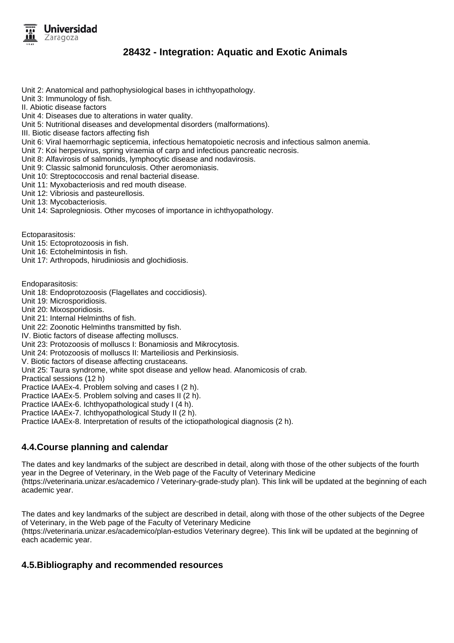

Unit 2: Anatomical and pathophysiological bases in ichthyopathology.

Unit 3: Immunology of fish.

II. Abiotic disease factors

Unit 4: Diseases due to alterations in water quality.

Unit 5: Nutritional diseases and developmental disorders (malformations).

III. Biotic disease factors affecting fish

Unit 6: Viral haemorrhagic septicemia, infectious hematopoietic necrosis and infectious salmon anemia.

Unit 7: Koi herpesvirus, spring viraemia of carp and infectious pancreatic necrosis.

Unit 8: Alfavirosis of salmonids, lymphocytic disease and nodavirosis.

Unit 9: Classic salmonid forunculosis. Other aeromoniasis.

Unit 10: Streptococcosis and renal bacterial disease.

Unit 11: Myxobacteriosis and red mouth disease.

Unit 12: Vibriosis and pasteurellosis.

Unit 13: Mycobacteriosis.

Unit 14: Saprolegniosis. Other mycoses of importance in ichthyopathology.

Ectoparasitosis:

Unit 15: Ectoprotozoosis in fish.

Unit 16: Ectohelmintosis in fish.

Unit 17: Arthropods, hirudiniosis and glochidiosis.

Endoparasitosis:

Unit 18: Endoprotozoosis (Flagellates and coccidiosis).

Unit 19: Microsporidiosis.

Unit 20: Mixosporidiosis.

Unit 21: Internal Helminths of fish.

Unit 22: Zoonotic Helminths transmitted by fish.

IV. Biotic factors of disease affecting molluscs.

Unit 23: Protozoosis of molluscs I: Bonamiosis and Mikrocytosis.

Unit 24: Protozoosis of molluscs II: Marteiliosis and Perkinsiosis.

V. Biotic factors of disease affecting crustaceans.

Unit 25: Taura syndrome, white spot disease and yellow head. Afanomicosis of crab.

Practical sessions (12 h)

Practice IAAEx-4. Problem solving and cases I (2 h).

Practice IAAEx-5. Problem solving and cases II (2 h).

Practice IAAEx-6. Ichthyopathological study I (4 h).

Practice IAAEx-7. Ichthyopathological Study II (2 h).

Practice IAAEx-8. Interpretation of results of the ictiopathological diagnosis (2 h).

## **4.4.Course planning and calendar**

The dates and key landmarks of the subject are described in detail, along with those of the other subjects of the fourth year in the Degree of Veterinary, in the Web page of the Faculty of Veterinary Medicine (https://veterinaria.unizar.es/academico / Veterinary-grade-study plan). This link will be updated at the beginning of each academic year.

The dates and key landmarks of the subject are described in detail, along with those of the other subjects of the Degree of Veterinary, in the Web page of the Faculty of Veterinary Medicine (https://veterinaria.unizar.es/academico/plan-estudios Veterinary degree). This link will be updated at the beginning of each academic year.

## **4.5.Bibliography and recommended resources**